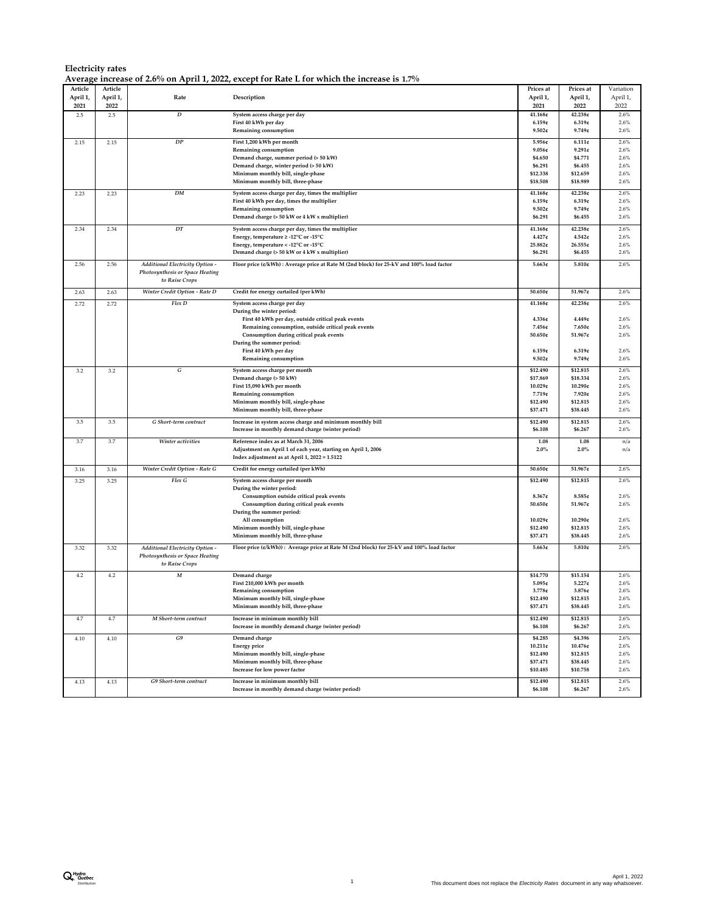**Average increase of 2.6% on April 1, 2022, except for Rate L for which the increase is 1.7%**

|          |          |                                        | Average increase of 2.0% on April 1, 2022, except for Nate L for which the increase is 1.7% |           |                      |           |
|----------|----------|----------------------------------------|---------------------------------------------------------------------------------------------|-----------|----------------------|-----------|
| Article  | Article  |                                        |                                                                                             | Prices at | Prices at            | Variation |
| April 1, | April 1, | Rate                                   | Description                                                                                 | April 1,  | April 1,             | April 1,  |
| 2021     | 2022     |                                        |                                                                                             | 2021      | 2022                 | 2022      |
|          |          |                                        |                                                                                             |           |                      |           |
| 2.5      | $2.5\,$  | $\boldsymbol{D}$                       | System access charge per day                                                                | 41.168¢   | 42.238¢              | 2.6%      |
|          |          |                                        | First 40 kWh per day                                                                        | 6.159c    | 6.319c               | 2.6%      |
|          |          |                                        | Remaining consumption                                                                       | 9.502c    | 9.749c               | 2.6%      |
|          |          |                                        |                                                                                             |           |                      |           |
| 2.15     | 2.15     | DP                                     | First 1,200 kWh per month                                                                   | 5.956¢    | 6.111c               | $2.6\%$   |
|          |          |                                        | Remaining consumption                                                                       | 9.056c    | 9.291c               | 2.6%      |
|          |          |                                        | Demand charge, summer period (> 50 kW)                                                      | \$4.650   | \$4.771              | 2.6%      |
|          |          |                                        | Demand charge, winter period (> 50 kW)                                                      | \$6.291   | \$6.455              | 2.6%      |
|          |          |                                        | Minimum monthly bill, single-phase                                                          | \$12.338  | \$12.659             | 2.6%      |
|          |          |                                        |                                                                                             |           |                      |           |
|          |          |                                        | Minimum monthly bill, three-phase                                                           | \$18.508  | \$18.989             | 2.6%      |
| 2.23     | 2.23     | <b>DM</b>                              | System access charge per day, times the multiplier                                          | 41.168¢   | 42.238¢              | 2.6%      |
|          |          |                                        | First 40 kWh per day, times the multiplier                                                  | 6.159c    | 6.319c               | 2.6%      |
|          |          |                                        |                                                                                             | 9.502c    | 9.749c               | 2.6%      |
|          |          |                                        | Remaining consumption                                                                       |           |                      |           |
|          |          |                                        | Demand charge (> 50 kW or 4 kW x multiplier)                                                | \$6.291   | \$6.455              | 2.6%      |
| 2.34     | 2.34     | DT                                     | System access charge per day, times the multiplier                                          | 41.168¢   | 42.238¢              | 2.6%      |
|          |          |                                        | Energy, temperature $\geq$ -12°C or -15°C                                                   | 4.427c    | 4.542c               | 2.6%      |
|          |          |                                        |                                                                                             |           |                      |           |
|          |          |                                        | Energy, temperature < - 12°C or - 15°C                                                      | 25.882¢   | 26.555¢              | 2.6%      |
|          |          |                                        | Demand charge (> 50 kW or 4 kW x multiplier)                                                | \$6.291   | \$6.455              | 2.6%      |
| 2.56     | 2.56     | <b>Additional Electricity Option -</b> | Floor price (¢/kWh) : Average price at Rate M (2nd block) for 25-kV and 100% load factor    | 5.663¢    | 5.810c               | 2.6%      |
|          |          |                                        |                                                                                             |           |                      |           |
|          |          | <b>Photosynthesis or Space Heating</b> |                                                                                             |           |                      |           |
|          |          | to Raise Crops                         |                                                                                             |           |                      |           |
| 2.63     | 2.63     | Winter Credit Option - Rate D          | Credit for energy curtailed (per kWh)                                                       | 50.650c   | 51.967¢              | 2.6%      |
|          |          |                                        |                                                                                             |           |                      |           |
| 2.72     | 2.72     | Flex D                                 | System access charge per day                                                                | 41.168¢   | $42.238\,\mathrm{c}$ | 2.6%      |
|          |          |                                        | During the winter period:                                                                   |           |                      |           |
|          |          |                                        | First 40 kWh per day, outside critical peak events                                          | 4.336¢    | 4.449c               | 2.6%      |
|          |          |                                        |                                                                                             |           |                      |           |
|          |          |                                        | Remaining consumption, outside critical peak events                                         | 7.456e    | 7.650¢               | 2.6%      |
|          |          |                                        | Consumption during critical peak events                                                     | 50.650c   | 51.967¢              | 2.6%      |
|          |          |                                        | During the summer period:                                                                   |           |                      |           |
|          |          |                                        | First 40 kWh per day                                                                        | 6.159c    | 6.319c               | 2.6%      |
|          |          |                                        | Remaining consumption                                                                       | 9.502c    | 9.749c               | 2.6%      |
|          |          |                                        |                                                                                             |           |                      |           |
| 3.2      | $3.2\,$  | $\cal G$                               | System access charge per month                                                              | \$12.490  | \$12.815             | 2.6%      |
|          |          |                                        | Demand charge (> 50 kW)                                                                     | \$17.869  | \$18.334             | 2.6%      |
|          |          |                                        | First 15,090 kWh per month                                                                  | 10.029c   | 10.290c              | 2.6%      |
|          |          |                                        | Remaining consumption                                                                       | 7.719c    | 7.920¢               | 2.6%      |
|          |          |                                        | Minimum monthly bill, single-phase                                                          | \$12.490  | \$12.815             | 2.6%      |
|          |          |                                        |                                                                                             |           |                      |           |
|          |          |                                        | Minimum monthly bill, three-phase                                                           | \$37.471  | \$38.445             | 2.6%      |
| 3.5      | 3.5      | G Short-term contract                  | Increase in system access charge and minimum monthly bill                                   | \$12.490  | \$12.815             | 2.6%      |
|          |          |                                        | Increase in monthly demand charge (winter period)                                           | \$6.108   | \$6.267              | 2.6%      |
|          |          |                                        |                                                                                             |           |                      |           |
| 3.7      | 3.7      | Winter activities                      | Reference index as at March 31, 2006                                                        | 1.08      | 1.08                 | n/a       |
|          |          |                                        | Adjustment on April 1 of each year, starting on April 1, 2006                               | 2.0%      | 2.0%                 | n/a       |
|          |          |                                        | Index adjustment as at April 1, 2022 = 1.5122                                               |           |                      |           |
|          |          |                                        |                                                                                             |           |                      |           |
| 3.16     | 3.16     | Winter Credit Option - Rate G          | Credit for energy curtailed (per kWh)                                                       | $50.650c$ | 51.967¢              | 2.6%      |
|          |          |                                        |                                                                                             |           |                      |           |
| 3.25     | 3.25     | Flex G                                 | System access charge per month                                                              | \$12.490  | \$12.815             | 2.6%      |
|          |          |                                        | During the winter period:                                                                   |           |                      |           |
|          |          |                                        | Consumption outside critical peak events                                                    | 8.367¢    | 8.585c               | 2.6%      |
|          |          |                                        | Consumption during critical peak events                                                     | 50.650c   | 51.967¢              | 2.6%      |
|          |          |                                        | During the summer period:                                                                   |           |                      |           |
|          |          |                                        | All consumption                                                                             | 10.029c   | 10.290c              | 2.6%      |
|          |          |                                        |                                                                                             | \$12.490  | \$12.815             | 2.6%      |
|          |          |                                        | Minimum monthly bill, single-phase                                                          |           |                      |           |
|          |          |                                        | Minimum monthly bill, three-phase                                                           | \$37.471  | \$38.445             | 2.6%      |
| 3.32     | 3.32     | <b>Additional Electricity Option -</b> | Floor price (¢/kWh)) : Average price at Rate M (2nd block) for 25-kV and 100% load factor   | 5.663¢    | 5.810c               | 2.6%      |
|          |          | <b>Photosynthesis or Space Heating</b> |                                                                                             |           |                      |           |
|          |          |                                        |                                                                                             |           |                      |           |
|          |          | to Raise Crops                         |                                                                                             |           |                      |           |
| 4.2      | 4.2      | $\boldsymbol{M}$                       | Demand charge                                                                               | \$14.770  | \$15.154             | 2.6%      |
|          |          |                                        | First 210,000 kWh per month                                                                 | 5.095¢    | 5.227c               | 2.6%      |
|          |          |                                        | Remaining consumption                                                                       | 3.778c    | 3.876c               | 2.6%      |
|          |          |                                        |                                                                                             |           |                      |           |
|          |          |                                        | Minimum monthly bill, single-phase                                                          | \$12,490  | \$12.815             | 2.6%      |
|          |          |                                        | Minimum monthly bill, three-phase                                                           | \$37.471  | \$38.445             | 2.6%      |
|          |          |                                        |                                                                                             |           |                      | 2.6%      |
| 4.7      | 4.7      | M Short-term contract                  | Increase in minimum monthly bill                                                            | \$12.490  | \$12.815             |           |
|          |          |                                        | Increase in monthly demand charge (winter period)                                           | \$6.108   | \$6.267              | 2.6%      |
| 4.10     | 4.10     | G9                                     | Demand charge                                                                               | \$4.285   | \$4.396              | 2.6%      |
|          |          |                                        |                                                                                             |           |                      |           |
|          |          |                                        | <b>Energy</b> price                                                                         | 10.211c   | 10.476¢              | 2.6%      |
|          |          |                                        | Minimum monthly bill, single-phase                                                          | \$12.490  | \$12.815             | 2.6%      |
|          |          |                                        | Minimum monthly bill, three-phase                                                           | \$37.471  | \$38.445             | 2.6%      |
|          |          |                                        | Increase for low power factor                                                               | \$10.485  | \$10.758             | 2.6%      |
|          |          |                                        |                                                                                             |           |                      |           |
| 4.13     | 4.13     | G9 Short-term contract                 | Increase in minimum monthly bill                                                            | \$12.490  | \$12.815             | 2.6%      |
|          |          |                                        | Increase in monthly demand charge (winter period)                                           | \$6.108   | \$6.267              | 2.6%      |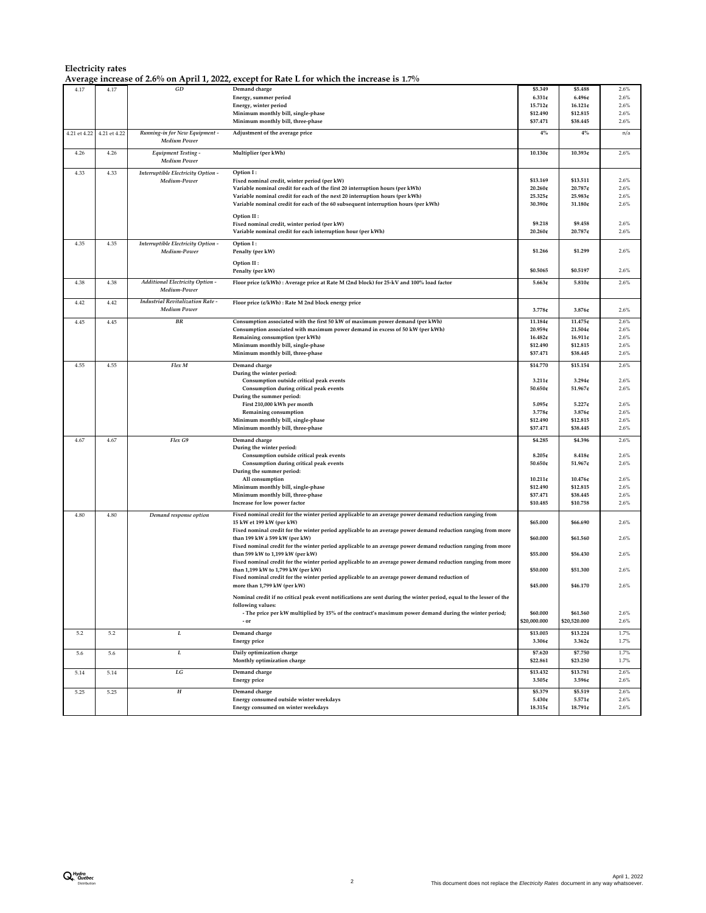**Average increase of 2.6% on April 1, 2022, except for Rate L for which the increase is 1.7%**

|              |              |                                                   | Average increase of 2.6% on April 1, 2022, except for Rate L for which the increase is 1.7%                                                   |                   |                   |              |
|--------------|--------------|---------------------------------------------------|-----------------------------------------------------------------------------------------------------------------------------------------------|-------------------|-------------------|--------------|
| 4.17         | 4.17         | GD                                                | Demand charge                                                                                                                                 | \$5.349           | \$5.488           | 2.6%         |
|              |              |                                                   | Energy, summer period                                                                                                                         | 6.331c            | 6.496¢            | 2.6%         |
|              |              |                                                   | Energy, winter period                                                                                                                         | 15.712¢           | 16.121c           | 2.6%         |
|              |              |                                                   | Minimum monthly bill, single-phase                                                                                                            | \$12.490          | \$12.815          | 2.6%         |
|              |              |                                                   | Minimum monthly bill, three-phase                                                                                                             | \$37.471          | \$38.445          | 2.6%         |
| 4.21 et 4.22 | 4.21 et 4.22 | Running-in for New Equipment -                    | Adjustment of the average price                                                                                                               | $4\%$             | $4\%$             | n/a          |
|              |              | <b>Medium Power</b>                               |                                                                                                                                               |                   |                   |              |
|              |              |                                                   |                                                                                                                                               |                   |                   |              |
| 4.26         | 4.26         | <b>Equipment Testing -</b><br><b>Medium Power</b> | Multiplier (per kWh)                                                                                                                          | $10.130c$         | 10.393¢           | 2.6%         |
| 4.33         | 4.33         | Interruptible Electricity Option -                | Option I:                                                                                                                                     |                   |                   |              |
|              |              | Medium-Power                                      | Fixed nominal credit, winter period (per kW)                                                                                                  | \$13.169          | \$13.511          | 2.6%         |
|              |              |                                                   | Variable nominal credit for each of the first 20 interruption hours (per kWh)                                                                 | 20.260c           | 20.787¢           | 2.6%         |
|              |              |                                                   | Variable nominal credit for each of the next 20 interruption hours (per kWh)                                                                  | 25.325€           | 25.983¢           | 2.6%         |
|              |              |                                                   | Variable nominal credit for each of the 60 subsequent interruption hours (per kWh)                                                            | 30.390¢           | 31.180¢           | 2.6%         |
|              |              |                                                   | Option II:                                                                                                                                    |                   |                   |              |
|              |              |                                                   | Fixed nominal credit, winter period (per kW)                                                                                                  | \$9.218           | \$9.458           | 2.6%         |
|              |              |                                                   | Variable nominal credit for each interruption hour (per kWh)                                                                                  | 20.260c           | 20.787¢           | 2.6%         |
|              |              |                                                   |                                                                                                                                               |                   |                   |              |
| 4.35         | 4.35         | Interruptible Electricity Option -                | Option I:                                                                                                                                     |                   | \$1.299           | 2.6%         |
|              |              | Medium-Power                                      | Penalty (per kW)                                                                                                                              | \$1.266           |                   |              |
|              |              |                                                   | Option II:                                                                                                                                    |                   |                   |              |
|              |              |                                                   | Penalty (per kW)                                                                                                                              | \$0.5065          | \$0.5197          | 2.6%         |
| 4.38         | 4.38         | <b>Additional Electricity Option -</b>            | Floor price (¢/kWh) : Average price at Rate M (2nd block) for 25-kV and 100% load factor                                                      | 5.663c            | 5.810c            | 2.6%         |
|              |              | Medium-Power                                      |                                                                                                                                               |                   |                   |              |
|              |              |                                                   |                                                                                                                                               |                   |                   |              |
| 4.42         | 4.42         | <b>Industrial Revitalization Rate -</b>           | Floor price (¢/kWh) : Rate M 2nd block energy price                                                                                           |                   |                   |              |
|              |              | <b>Medium Power</b>                               |                                                                                                                                               | 3.778c            | 3.876¢            | 2.6%         |
| 4.45         | 4.45         | $_{\it BR}$                                       | Consumption associated with the first 50 kW of maximum power demand (per kWh)                                                                 | 11.184¢           | 11.475¢           | 2.6%         |
|              |              |                                                   | Consumption associated with maximum power demand in excess of 50 kW (per kWh)                                                                 | 20.959c           | 21.504¢           | 2.6%         |
|              |              |                                                   | Remaining consumption (per kWh)                                                                                                               | 16.482¢           | 16.911c           | 2.6%         |
|              |              |                                                   | Minimum monthly bill, single-phase                                                                                                            | \$12.490          | \$12.815          | 2.6%         |
|              |              |                                                   | Minimum monthly bill, three-phase                                                                                                             | \$37.471          | \$38.445          | 2.6%         |
| 4.55         | 4.55         | Flex M                                            | Demand charge                                                                                                                                 | \$14.770          | \$15.154          | 2.6%         |
|              |              |                                                   | During the winter period:                                                                                                                     |                   |                   |              |
|              |              |                                                   | Consumption outside critical peak events                                                                                                      | 3.211c            | 3.294c            | 2.6%         |
|              |              |                                                   | Consumption during critical peak events                                                                                                       | 50.650¢           | 51.967¢           | 2.6%         |
|              |              |                                                   | During the summer period:                                                                                                                     |                   |                   |              |
|              |              |                                                   | First 210,000 kWh per month                                                                                                                   | 5.095¢            | 5.227c            | 2.6%         |
|              |              |                                                   | Remaining consumption                                                                                                                         | 3.778c            | 3.876¢            | 2.6%         |
|              |              |                                                   | Minimum monthly bill, single-phase                                                                                                            | \$12.490          | \$12.815          | 2.6%         |
|              |              |                                                   | Minimum monthly bill, three-phase                                                                                                             | \$37.471          | \$38.445          | 2.6%         |
|              |              |                                                   |                                                                                                                                               |                   |                   |              |
| 4.67         | 4.67         | Flex G9                                           | Demand charge                                                                                                                                 | \$4.285           | \$4.396           | 2.6%         |
|              |              |                                                   | During the winter period:                                                                                                                     |                   |                   |              |
|              |              |                                                   | Consumption outside critical peak events<br>Consumption during critical peak events                                                           | 8.205c<br>50.650e | 8.418¢<br>51.967¢ | 2.6%<br>2.6% |
|              |              |                                                   |                                                                                                                                               |                   |                   |              |
|              |              |                                                   | During the summer period:<br>All consumption                                                                                                  | 10.211c           | 10.476¢           | 2.6%         |
|              |              |                                                   | Minimum monthly bill, single-phase                                                                                                            | \$12.490          | \$12.815          | 2.6%         |
|              |              |                                                   | Minimum monthly bill, three-phase                                                                                                             | \$37.471          | \$38.445          | 2.6%         |
|              |              |                                                   | Increase for low power factor                                                                                                                 | \$10.485          | \$10.758          | 2.6%         |
|              |              |                                                   |                                                                                                                                               |                   |                   |              |
| 4.80         | 4.80         | Demand response option                            | Fixed nominal credit for the winter period applicable to an average power demand reduction ranging from                                       |                   |                   |              |
|              |              |                                                   | 15 kW et 199 kW (per kW)                                                                                                                      | \$65.000          | \$66.690          | 2.6%         |
|              |              |                                                   | Fixed nominal credit for the winter period applicable to an average power demand reduction ranging from more<br>than 199 kW à 599 kW (per kW) | \$60.000          | \$61.560          | 2.6%         |
|              |              |                                                   | Fixed nominal credit for the winter period applicable to an average power demand reduction ranging from more                                  |                   |                   |              |
|              |              |                                                   | than 599 kW to 1,199 kW (per kW)                                                                                                              | \$55.000          | \$56.430          | 2.6%         |
|              |              |                                                   | Fixed nominal credit for the winter period applicable to an average power demand reduction ranging from more                                  |                   |                   |              |
|              |              |                                                   | than 1,199 kW to 1,799 kW (per kW)                                                                                                            | \$50.000          | \$51.300          | 2.6%         |
|              |              |                                                   | Fixed nominal credit for the winter period applicable to an average power demand reduction of                                                 |                   |                   |              |
|              |              |                                                   | more than 1,799 kW (per kW)                                                                                                                   | \$45.000          | \$46.170          | 2.6%         |
|              |              |                                                   |                                                                                                                                               |                   |                   |              |
|              |              |                                                   | Nominal credit if no critical peak event notifications are sent during the winter period, equal to the lesser of the<br>following values:     |                   |                   |              |
|              |              |                                                   | - The price per kW multiplied by 15% of the contract's maximum power demand during the winter period;                                         | \$60.000          | \$61.560          | 2.6%         |
|              |              |                                                   | - or                                                                                                                                          | \$20,000,000      | \$20,520.000      | 2.6%         |
|              |              |                                                   |                                                                                                                                               |                   |                   |              |
| 5.2          | 5.2          | L                                                 | Demand charge                                                                                                                                 | \$13.003          | \$13.224          | 1.7%         |
|              |              |                                                   | <b>Energy price</b>                                                                                                                           | 3.306¢            | 3.362c            | 1.7%         |
| 5.6          | 5.6          | L                                                 | Daily optimization charge                                                                                                                     | \$7.620           | \$7.750           | 1.7%         |
|              |              |                                                   | Monthly optimization charge                                                                                                                   | \$22.861          | \$23.250          | 1.7%         |
| 5.14         | 5.14         | $\cal{L}G$                                        | Demand charge                                                                                                                                 | \$13.432          | \$13.781          | 2.6%         |
|              |              |                                                   | <b>Energy price</b>                                                                                                                           | 3.505c            | 3.596¢            | 2.6%         |
|              |              |                                                   |                                                                                                                                               |                   |                   |              |
| 5.25         | 5.25         | $\boldsymbol{H}$                                  | Demand charge                                                                                                                                 | \$5.379           | \$5.519           | 2.6%         |
|              |              |                                                   | Energy consumed outside winter weekdays                                                                                                       | 5.430¢            | 5.571c            | 2.6%         |
|              |              |                                                   | Energy consumed on winter weekdays                                                                                                            | 18.315¢           | 18.791¢           | 2.6%         |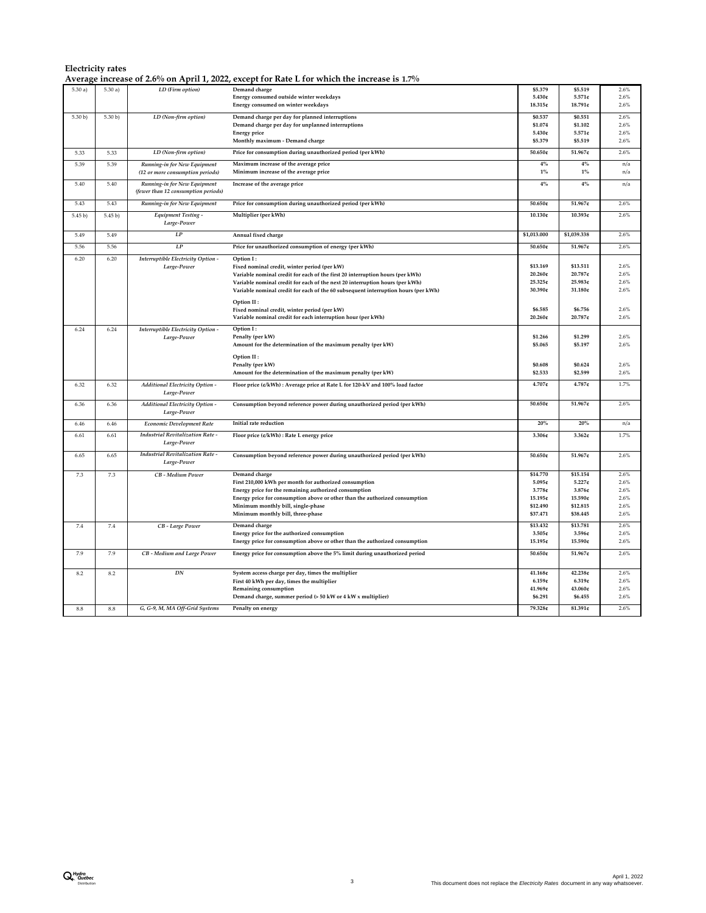**Average increase of 2.6% on April 1, 2022, except for Rate L for which the increase is 1.7%**

|         |         |                                                | Average increase of 2.0% on April 1, 2022, except for Kate L for which the increase is 1.7% |             |             |      |
|---------|---------|------------------------------------------------|---------------------------------------------------------------------------------------------|-------------|-------------|------|
| 5.30a   | 5.30a)  | LD (Firm option)                               | Demand charge                                                                               | \$5.379     | \$5.519     | 2.6% |
|         |         |                                                | Energy consumed outside winter weekdays                                                     | 5.430e      | 5.571c      | 2.6% |
|         |         |                                                | Energy consumed on winter weekdays                                                          | 18.315¢     | 18.791¢     | 2.6% |
|         |         |                                                |                                                                                             |             |             |      |
| 5.30 b  | 5.30 b) | LD (Non-firm option)                           | Demand charge per day for planned interruptions                                             | \$0.537     | \$0.551     | 2.6% |
|         |         |                                                | Demand charge per day for unplanned interruptions                                           | \$1.074     | \$1.102     | 2.6% |
|         |         |                                                | <b>Energy price</b>                                                                         | 5.430¢      | 5.571c      | 2.6% |
|         |         |                                                |                                                                                             |             |             |      |
|         |         |                                                | Monthly maximum - Demand charge                                                             | \$5.379     | \$5.519     | 2.6% |
| 5.33    | 5.33    | LD (Non-firm option)                           | Price for consumption during unauthorized period (per kWh)                                  | $50.650c$   | 51.967¢     | 2.6% |
| 5.39    | 5.39    | Running-in for New Equipment                   | Maximum increase of the average price                                                       | 4%          | 4%          | n/a  |
|         |         | (12 or more consumption periods)               | Minimum increase of the average price                                                       | $1\%$       | $1\%$       | n/a  |
| 5.40    | 5.40    | Running-in for New Equipment                   | Increase of the average price                                                               | 4%          | $4\%$       | n/a  |
|         |         | (fewer than 12 consumption periods)            |                                                                                             |             |             |      |
| 5.43    | 5.43    | Running-in for New Equipment                   | Price for consumption during unauthorized period (per kWh)                                  | 50.650e     | 51.967¢     | 2.6% |
| 5.45 b) | 5.45 b) | <b>Equipment Testing -</b><br>Large-Power      | Multiplier (per kWh)                                                                        | 10.130c     | 10.393€     | 2.6% |
| 5.49    | 5.49    | LP                                             | Annual fixed charge                                                                         | \$1,013.000 | \$1,039.338 | 2.6% |
| 5.56    | 5.56    | $\cal LP$                                      | Price for unauthorized consumption of energy (per kWh)                                      | 50.650e     | 51.967¢     | 2.6% |
| 6.20    | 6.20    | Interruptible Electricity Option -             | Option I:                                                                                   |             |             |      |
|         |         | Large-Power                                    | Fixed nominal credit, winter period (per kW)                                                | \$13.169    | \$13.511    | 2.6% |
|         |         |                                                | Variable nominal credit for each of the first 20 interruption hours (per kWh)               | 20.260¢     | 20.787¢     | 2.6% |
|         |         |                                                | Variable nominal credit for each of the next 20 interruption hours (per kWh)                | 25.325¢     | 25.983¢     | 2.6% |
|         |         |                                                | Variable nominal credit for each of the 60 subsequent interruption hours (per kWh)          | 30.390¢     | 31.180¢     | 2.6% |
|         |         |                                                |                                                                                             |             |             |      |
|         |         |                                                | Option II:                                                                                  |             |             |      |
|         |         |                                                | Fixed nominal credit, winter period (per kW)                                                | \$6.585     | \$6.756     | 2.6% |
|         |         |                                                | Variable nominal credit for each interruption hour (per kWh)                                | 20.260e     | 20.787¢     | 2.6% |
| 6.24    | 6.24    | Interruptible Electricity Option -             | Option I:                                                                                   |             |             |      |
|         |         |                                                | Penalty (per kW)                                                                            | \$1.266     | \$1.299     | 2.6% |
|         |         | Large-Power                                    |                                                                                             |             |             |      |
|         |         |                                                | Amount for the determination of the maximum penalty (per kW)                                | \$5,065     | \$5.197     | 2.6% |
|         |         |                                                | Option II:                                                                                  |             |             |      |
|         |         |                                                | Penalty (per kW)                                                                            | \$0.608     | \$0.624     | 2.6% |
|         |         |                                                | Amount for the determination of the maximum penalty (per kW)                                | \$2.533     | \$2.599     | 2.6% |
|         |         |                                                |                                                                                             |             |             |      |
| 6.32    | 6.32    | Additional Electricity Option -<br>Large-Power | Floor price (¢/kWh) : Average price at Rate L for 120-kV and 100% load factor               | 4.707¢      | 4.787c      | 1.7% |
| 6.36    | 6.36    | <b>Additional Electricity Option -</b>         | Consumption beyond reference power during unauthorized period (per kWh)                     | 50.650e     | 51.967¢     | 2.6% |
|         |         | Large-Power                                    |                                                                                             |             |             |      |
| 6.46    | 6.46    | <b>Economic Development Rate</b>               | Initial rate reduction                                                                      | 20%         | 20%         | n/a  |
| 6.61    | 6.61    | <b>Industrial Revitalization Rate -</b>        | Floor price (¢/kWh) : Rate L energy price                                                   | 3.306e      | 3.362c      | 1.7% |
|         |         | Large-Power                                    |                                                                                             |             |             |      |
| 6.65    | 6.65    | <b>Industrial Revitalization Rate -</b>        | Consumption beyond reference power during unauthorized period (per kWh)                     | $50.650c$   | 51.967¢     | 2.6% |
|         |         | Large-Power                                    |                                                                                             |             |             |      |
| 7.3     | 7.3     | CB - Medium Power                              | Demand charge                                                                               | \$14.770    | \$15.154    | 2.6% |
|         |         |                                                |                                                                                             | 5.095c      | 5.227c      | 2.6% |
|         |         |                                                | First 210,000 kWh per month for authorized consumption                                      |             |             |      |
|         |         |                                                | Energy price for the remaining authorized consumption                                       | 3.778c      | 3.876¢      | 2.6% |
|         |         |                                                | Energy price for consumption above or other than the authorized consumption                 | 15.195¢     | 15.590¢     | 2.6% |
|         |         |                                                | Minimum monthly bill, single-phase                                                          | \$12.490    | \$12.815    | 2.6% |
|         |         |                                                | Minimum monthly bill, three-phase                                                           | \$37.471    | \$38.445    | 2.6% |
| 7.4     | 7.4     | CB - Large Power                               | Demand charge                                                                               | \$13.432    | \$13.781    | 2.6% |
|         |         |                                                | Energy price for the authorized consumption                                                 | 3.505¢      | 3.596¢      | 2.6% |
|         |         |                                                | Energy price for consumption above or other than the authorized consumption                 | 15.195¢     | 15.590¢     | 2.6% |
|         |         |                                                |                                                                                             |             |             |      |
| 7.9     | 7.9     | <b>CB</b> - Medium and Large Power             | Energy price for consumption above the 5% limit during unauthorized period                  | 50.650¢     | 51.967¢     | 2.6% |
|         |         |                                                |                                                                                             |             |             |      |
| 8.2     | 8.2     | DN                                             | System access charge per day, times the multiplier                                          | 41.168¢     | 42.238¢     | 2.6% |
|         |         |                                                | First 40 kWh per day, times the multiplier                                                  | 6.159c      | 6.319c      | 2.6% |
|         |         |                                                | Remaining consumption                                                                       | 41.969¢     | 43.060¢     | 2.6% |
|         |         |                                                | Demand charge, summer period (> 50 kW or 4 kW x multiplier)                                 | \$6.291     | \$6.455     | 2.6% |
|         |         |                                                |                                                                                             |             |             |      |
| 8.8     | 8.8     | G, G-9, M, MA Off-Grid Systems                 | Penalty on energy                                                                           | 79.328¢     | 81.391¢     | 2.6% |
|         |         |                                                |                                                                                             |             |             |      |